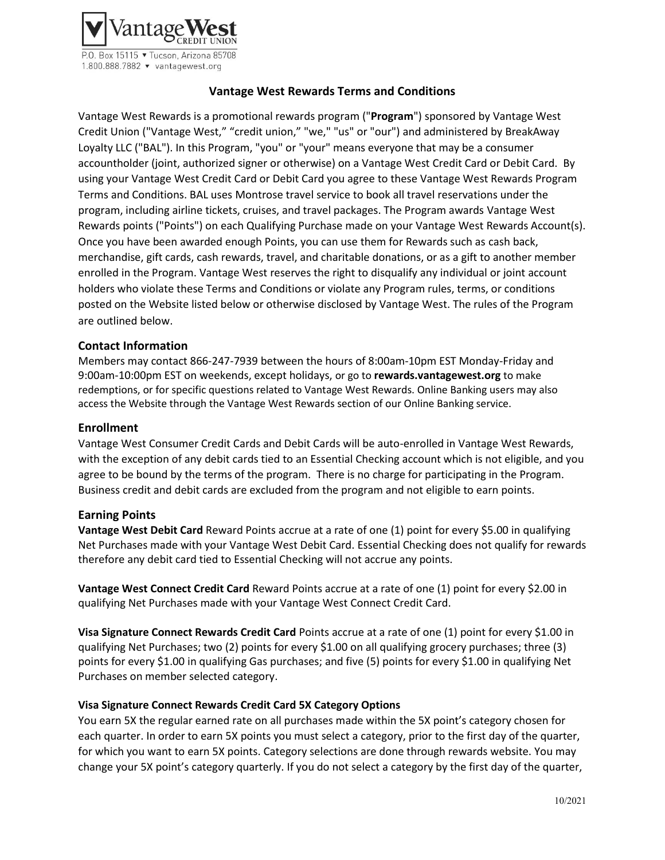

P.O. Box 15115 • Tucson, Arizona 85708 1.800.888.7882 ▼ vantagewest.org

# **Vantage West Rewards Terms and Conditions**

Vantage West Rewards is a promotional rewards program ("**Program**") sponsored by Vantage West Credit Union ("Vantage West," "credit union," "we," "us" or "our") and administered by BreakAway Loyalty LLC ("BAL"). In this Program, "you" or "your" means everyone that may be a consumer accountholder (joint, authorized signer or otherwise) on a Vantage West Credit Card or Debit Card. By using your Vantage West Credit Card or Debit Card you agree to these Vantage West Rewards Program Terms and Conditions. BAL uses Montrose travel service to book all travel reservations under the program, including airline tickets, cruises, and travel packages. The Program awards Vantage West Rewards points ("Points") on each Qualifying Purchase made on your Vantage West Rewards Account(s). Once you have been awarded enough Points, you can use them for Rewards such as cash back, merchandise, gift cards, cash rewards, travel, and charitable donations, or as a gift to another member enrolled in the Program. Vantage West reserves the right to disqualify any individual or joint account holders who violate these Terms and Conditions or violate any Program rules, terms, or conditions posted on the Website listed below or otherwise disclosed by Vantage West. The rules of the Program are outlined below.

## **Contact Information**

Members may contact 866-247-7939 between the hours of 8:00am-10pm EST Monday-Friday and 9:00am-10:00pm EST on weekends, except holidays, or go to **rewards.vantagewest.org** to make redemptions, or for specific questions related to Vantage West Rewards. Online Banking users may also access the Website through the Vantage West Rewards section of our Online Banking service.

#### **Enrollment**

Vantage West Consumer Credit Cards and Debit Cards will be auto-enrolled in Vantage West Rewards, with the exception of any debit cards tied to an Essential Checking account which is not eligible, and you agree to be bound by the terms of the program. There is no charge for participating in the Program. Business credit and debit cards are excluded from the program and not eligible to earn points.

#### **Earning Points**

**Vantage West Debit Card** Reward Points accrue at a rate of one (1) point for every \$5.00 in qualifying Net Purchases made with your Vantage West Debit Card. Essential Checking does not qualify for rewards therefore any debit card tied to Essential Checking will not accrue any points.

**Vantage West Connect Credit Card** Reward Points accrue at a rate of one (1) point for every \$2.00 in qualifying Net Purchases made with your Vantage West Connect Credit Card.

**Visa Signature Connect Rewards Credit Card** Points accrue at a rate of one (1) point for every \$1.00 in qualifying Net Purchases; two (2) points for every \$1.00 on all qualifying grocery purchases; three (3) points for every \$1.00 in qualifying Gas purchases; and five (5) points for every \$1.00 in qualifying Net Purchases on member selected category.

#### **Visa Signature Connect Rewards Credit Card 5X Category Options**

You earn 5X the regular earned rate on all purchases made within the 5X point's category chosen for each quarter. In order to earn 5X points you must select a category, prior to the first day of the quarter, for which you want to earn 5X points. Category selections are done through rewards website. You may change your 5X point's category quarterly. If you do not select a category by the first day of the quarter,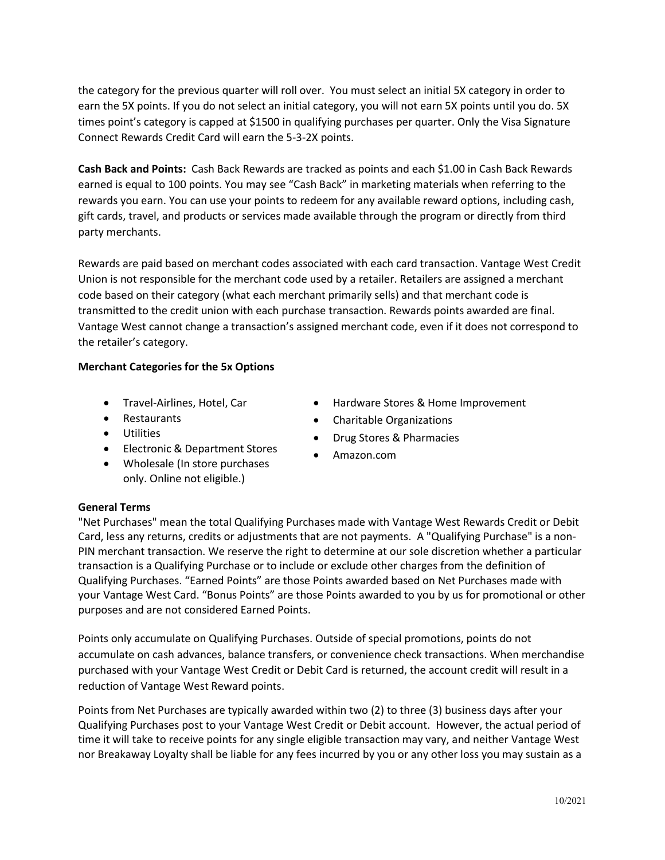the category for the previous quarter will roll over. You must select an initial 5X category in order to earn the 5X points. If you do not select an initial category, you will not earn 5X points until you do. 5X times point's category is capped at \$1500 in qualifying purchases per quarter. Only the Visa Signature Connect Rewards Credit Card will earn the 5-3-2X points.

**Cash Back and Points:** Cash Back Rewards are tracked as points and each \$1.00 in Cash Back Rewards earned is equal to 100 points. You may see "Cash Back" in marketing materials when referring to the rewards you earn. You can use your points to redeem for any available reward options, including cash, gift cards, travel, and products or services made available through the program or directly from third party merchants.

Rewards are paid based on merchant codes associated with each card transaction. Vantage West Credit Union is not responsible for the merchant code used by a retailer. Retailers are assigned a merchant code based on their category (what each merchant primarily sells) and that merchant code is transmitted to the credit union with each purchase transaction. Rewards points awarded are final. Vantage West cannot change a transaction's assigned merchant code, even if it does not correspond to the retailer's category.

## **Merchant Categories for the 5x Options**

- Travel-Airlines, Hotel, Car
- Restaurants
- Utilities
- Electronic & Department Stores
- Wholesale (In store purchases only. Online not eligible.)
- Hardware Stores & Home Improvement
- Charitable Organizations
- Drug Stores & Pharmacies
- Amazon.com

## **General Terms**

"Net Purchases" mean the total Qualifying Purchases made with Vantage West Rewards Credit or Debit Card, less any returns, credits or adjustments that are not payments. A "Qualifying Purchase" is a non-PIN merchant transaction. We reserve the right to determine at our sole discretion whether a particular transaction is a Qualifying Purchase or to include or exclude other charges from the definition of Qualifying Purchases. "Earned Points" are those Points awarded based on Net Purchases made with your Vantage West Card. "Bonus Points" are those Points awarded to you by us for promotional or other purposes and are not considered Earned Points.

Points only accumulate on Qualifying Purchases. Outside of special promotions, points do not accumulate on cash advances, balance transfers, or convenience check transactions. When merchandise purchased with your Vantage West Credit or Debit Card is returned, the account credit will result in a reduction of Vantage West Reward points.

Points from Net Purchases are typically awarded within two (2) to three (3) business days after your Qualifying Purchases post to your Vantage West Credit or Debit account. However, the actual period of time it will take to receive points for any single eligible transaction may vary, and neither Vantage West nor Breakaway Loyalty shall be liable for any fees incurred by you or any other loss you may sustain as a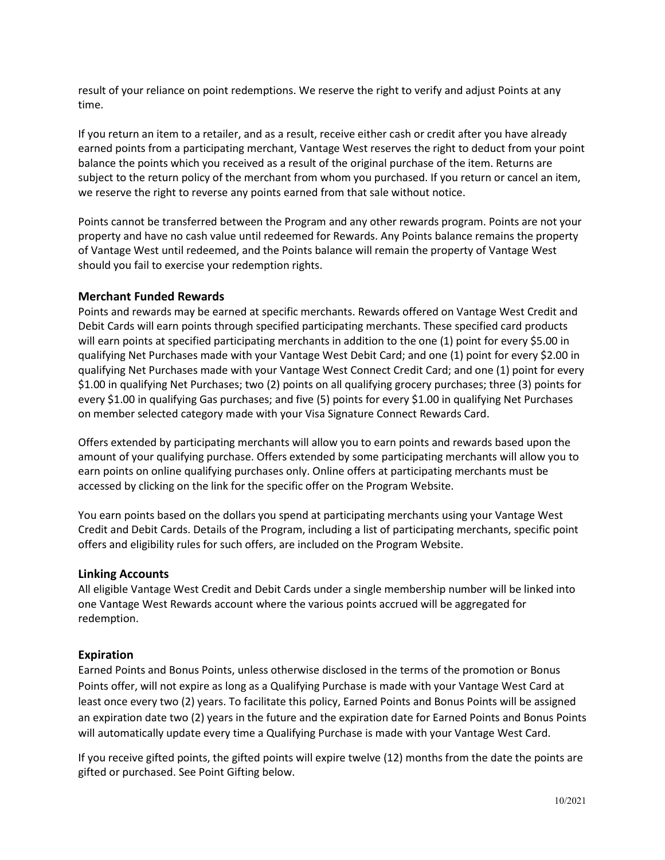result of your reliance on point redemptions. We reserve the right to verify and adjust Points at any time.

If you return an item to a retailer, and as a result, receive either cash or credit after you have already earned points from a participating merchant, Vantage West reserves the right to deduct from your point balance the points which you received as a result of the original purchase of the item. Returns are subject to the return policy of the merchant from whom you purchased. If you return or cancel an item, we reserve the right to reverse any points earned from that sale without notice.

Points cannot be transferred between the Program and any other rewards program. Points are not your property and have no cash value until redeemed for Rewards. Any Points balance remains the property of Vantage West until redeemed, and the Points balance will remain the property of Vantage West should you fail to exercise your redemption rights.

#### **Merchant Funded Rewards**

Points and rewards may be earned at specific merchants. Rewards offered on Vantage West Credit and Debit Cards will earn points through specified participating merchants. These specified card products will earn points at specified participating merchants in addition to the one (1) point for every \$5.00 in qualifying Net Purchases made with your Vantage West Debit Card; and one (1) point for every \$2.00 in qualifying Net Purchases made with your Vantage West Connect Credit Card; and one (1) point for every \$1.00 in qualifying Net Purchases; two (2) points on all qualifying grocery purchases; three (3) points for every \$1.00 in qualifying Gas purchases; and five (5) points for every \$1.00 in qualifying Net Purchases on member selected category made with your Visa Signature Connect Rewards Card.

Offers extended by participating merchants will allow you to earn points and rewards based upon the amount of your qualifying purchase. Offers extended by some participating merchants will allow you to earn points on online qualifying purchases only. Online offers at participating merchants must be accessed by clicking on the link for the specific offer on the Program Website.

You earn points based on the dollars you spend at participating merchants using your Vantage West Credit and Debit Cards. Details of the Program, including a list of participating merchants, specific point offers and eligibility rules for such offers, are included on the Program Website.

#### **Linking Accounts**

All eligible Vantage West Credit and Debit Cards under a single membership number will be linked into one Vantage West Rewards account where the various points accrued will be aggregated for redemption.

#### **Expiration**

Earned Points and Bonus Points, unless otherwise disclosed in the terms of the promotion or Bonus Points offer, will not expire as long as a Qualifying Purchase is made with your Vantage West Card at least once every two (2) years. To facilitate this policy, Earned Points and Bonus Points will be assigned an expiration date two (2) years in the future and the expiration date for Earned Points and Bonus Points will automatically update every time a Qualifying Purchase is made with your Vantage West Card.

If you receive gifted points, the gifted points will expire twelve (12) months from the date the points are gifted or purchased. See Point Gifting below.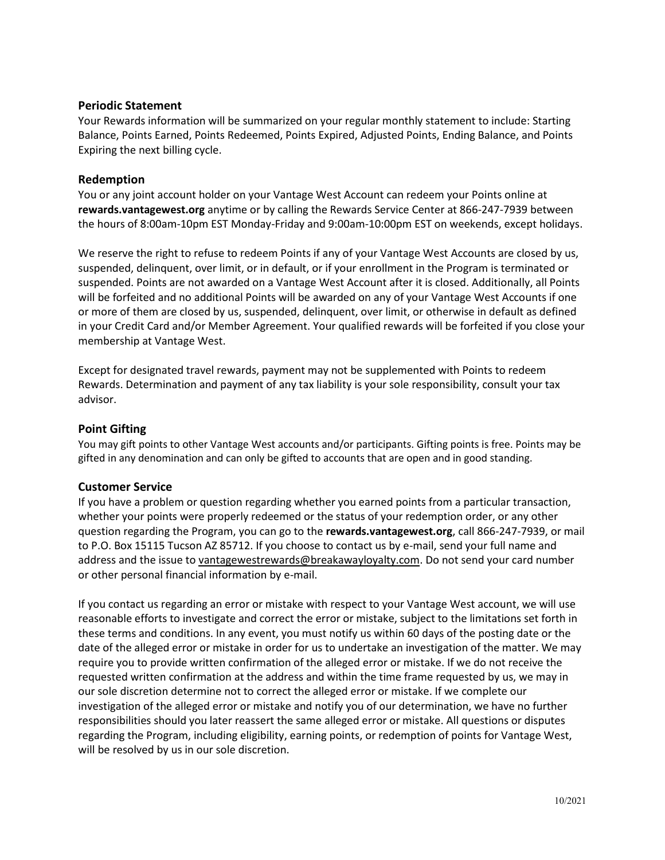## **Periodic Statement**

Your Rewards information will be summarized on your regular monthly statement to include: Starting Balance, Points Earned, Points Redeemed, Points Expired, Adjusted Points, Ending Balance, and Points Expiring the next billing cycle.

#### **Redemption**

You or any joint account holder on your Vantage West Account can redeem your Points online at **rewards.vantagewest.org** anytime or by calling the Rewards Service Center at 866-247-7939 between the hours of 8:00am-10pm EST Monday-Friday and 9:00am-10:00pm EST on weekends, except holidays.

We reserve the right to refuse to redeem Points if any of your Vantage West Accounts are closed by us, suspended, delinquent, over limit, or in default, or if your enrollment in the Program is terminated or suspended. Points are not awarded on a Vantage West Account after it is closed. Additionally, all Points will be forfeited and no additional Points will be awarded on any of your Vantage West Accounts if one or more of them are closed by us, suspended, delinquent, over limit, or otherwise in default as defined in your Credit Card and/or Member Agreement. Your qualified rewards will be forfeited if you close your membership at Vantage West.

Except for designated travel rewards, payment may not be supplemented with Points to redeem Rewards. Determination and payment of any tax liability is your sole responsibility, consult your tax advisor.

#### **Point Gifting**

You may gift points to other Vantage West accounts and/or participants. Gifting points is free. Points may be gifted in any denomination and can only be gifted to accounts that are open and in good standing.

## **Customer Service**

If you have a problem or question regarding whether you earned points from a particular transaction, whether your points were properly redeemed or the status of your redemption order, or any other question regarding the Program, you can go to the **rewards.vantagewest.org**, call 866-247-7939, or mail to P.O. Box 15115 Tucson AZ 85712. If you choose to contact us by e-mail, send your full name and address and the issue to [vantagewestrewards@breakawayloyalty.com.](mailto:vantagewestrewards@breakawayloyalty.com) Do not send your card number or other personal financial information by e-mail.

If you contact us regarding an error or mistake with respect to your Vantage West account, we will use reasonable efforts to investigate and correct the error or mistake, subject to the limitations set forth in these terms and conditions. In any event, you must notify us within 60 days of the posting date or the date of the alleged error or mistake in order for us to undertake an investigation of the matter. We may require you to provide written confirmation of the alleged error or mistake. If we do not receive the requested written confirmation at the address and within the time frame requested by us, we may in our sole discretion determine not to correct the alleged error or mistake. If we complete our investigation of the alleged error or mistake and notify you of our determination, we have no further responsibilities should you later reassert the same alleged error or mistake. All questions or disputes regarding the Program, including eligibility, earning points, or redemption of points for Vantage West, will be resolved by us in our sole discretion.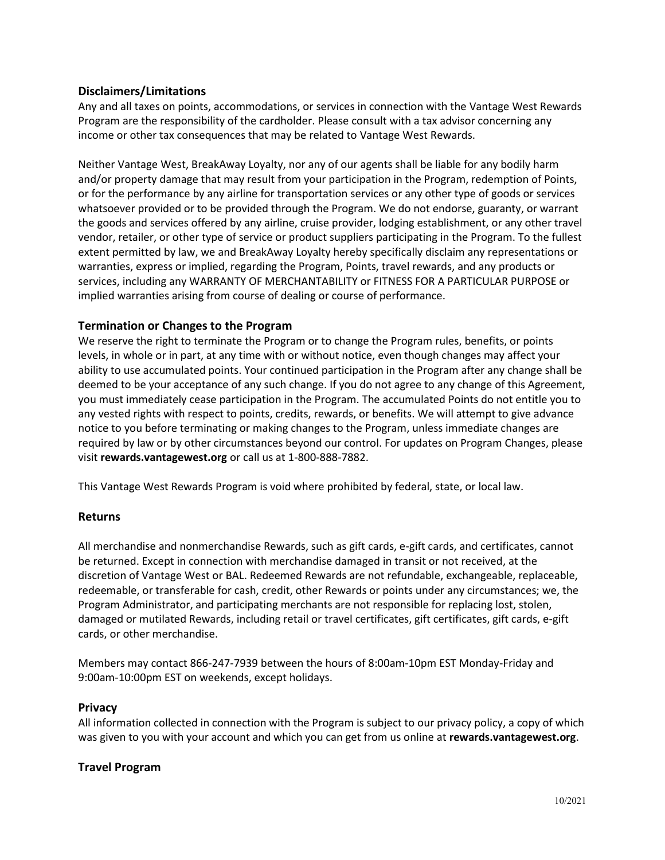# **Disclaimers/Limitations**

Any and all taxes on points, accommodations, or services in connection with the Vantage West Rewards Program are the responsibility of the cardholder. Please consult with a tax advisor concerning any income or other tax consequences that may be related to Vantage West Rewards.

Neither Vantage West, BreakAway Loyalty, nor any of our agents shall be liable for any bodily harm and/or property damage that may result from your participation in the Program, redemption of Points, or for the performance by any airline for transportation services or any other type of goods or services whatsoever provided or to be provided through the Program. We do not endorse, guaranty, or warrant the goods and services offered by any airline, cruise provider, lodging establishment, or any other travel vendor, retailer, or other type of service or product suppliers participating in the Program. To the fullest extent permitted by law, we and BreakAway Loyalty hereby specifically disclaim any representations or warranties, express or implied, regarding the Program, Points, travel rewards, and any products or services, including any WARRANTY OF MERCHANTABILITY or FITNESS FOR A PARTICULAR PURPOSE or implied warranties arising from course of dealing or course of performance.

# **Termination or Changes to the Program**

We reserve the right to terminate the Program or to change the Program rules, benefits, or points levels, in whole or in part, at any time with or without notice, even though changes may affect your ability to use accumulated points. Your continued participation in the Program after any change shall be deemed to be your acceptance of any such change. If you do not agree to any change of this Agreement, you must immediately cease participation in the Program. The accumulated Points do not entitle you to any vested rights with respect to points, credits, rewards, or benefits. We will attempt to give advance notice to you before terminating or making changes to the Program, unless immediate changes are required by law or by other circumstances beyond our control. For updates on Program Changes, please visit **rewards.vantagewest.org** or call us at 1-800-888-7882.

This Vantage West Rewards Program is void where prohibited by federal, state, or local law.

## **Returns**

All merchandise and nonmerchandise Rewards, such as gift cards, e-gift cards, and certificates, cannot be returned. Except in connection with merchandise damaged in transit or not received, at the discretion of Vantage West or BAL. Redeemed Rewards are not refundable, exchangeable, replaceable, redeemable, or transferable for cash, credit, other Rewards or points under any circumstances; we, the Program Administrator, and participating merchants are not responsible for replacing lost, stolen, damaged or mutilated Rewards, including retail or travel certificates, gift certificates, gift cards, e-gift cards, or other merchandise.

Members may contact 866-247-7939 between the hours of 8:00am-10pm EST Monday-Friday and 9:00am-10:00pm EST on weekends, except holidays.

## **Privacy**

All information collected in connection with the Program is subject to our privacy policy, a copy of which was given to you with your account and which you can get from us online at **rewards.vantagewest.org**.

## **Travel Program**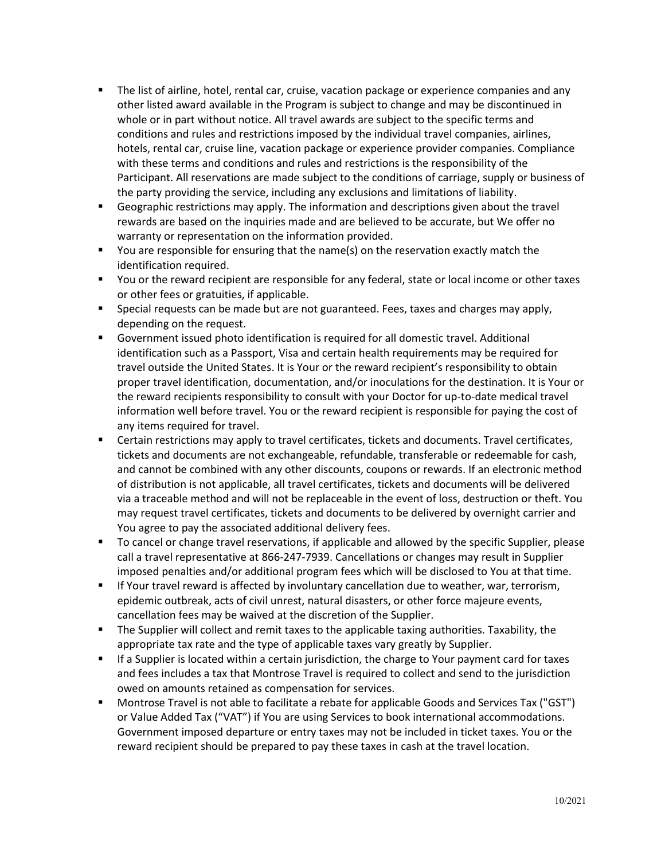- The list of airline, hotel, rental car, cruise, vacation package or experience companies and any other listed award available in the Program is subject to change and may be discontinued in whole or in part without notice. All travel awards are subject to the specific terms and conditions and rules and restrictions imposed by the individual travel companies, airlines, hotels, rental car, cruise line, vacation package or experience provider companies. Compliance with these terms and conditions and rules and restrictions is the responsibility of the Participant. All reservations are made subject to the conditions of carriage, supply or business of the party providing the service, including any exclusions and limitations of liability.
- **EX** Geographic restrictions may apply. The information and descriptions given about the travel rewards are based on the inquiries made and are believed to be accurate, but We offer no warranty or representation on the information provided.
- You are responsible for ensuring that the name(s) on the reservation exactly match the identification required.
- You or the reward recipient are responsible for any federal, state or local income or other taxes or other fees or gratuities, if applicable.
- **EXECT** Special requests can be made but are not guaranteed. Fees, taxes and charges may apply, depending on the request.
- Government issued photo identification is required for all domestic travel. Additional identification such as a Passport, Visa and certain health requirements may be required for travel outside the United States. It is Your or the reward recipient's responsibility to obtain proper travel identification, documentation, and/or inoculations for the destination. It is Your or the reward recipients responsibility to consult with your Doctor for up-to-date medical travel information well before travel. You or the reward recipient is responsible for paying the cost of any items required for travel.
- Certain restrictions may apply to travel certificates, tickets and documents. Travel certificates, tickets and documents are not exchangeable, refundable, transferable or redeemable for cash, and cannot be combined with any other discounts, coupons or rewards. If an electronic method of distribution is not applicable, all travel certificates, tickets and documents will be delivered via a traceable method and will not be replaceable in the event of loss, destruction or theft. You may request travel certificates, tickets and documents to be delivered by overnight carrier and You agree to pay the associated additional delivery fees.
- To cancel or change travel reservations, if applicable and allowed by the specific Supplier, please call a travel representative at 866-247-7939. Cancellations or changes may result in Supplier imposed penalties and/or additional program fees which will be disclosed to You at that time.
- **■** If Your travel reward is affected by involuntary cancellation due to weather, war, terrorism, epidemic outbreak, acts of civil unrest, natural disasters, or other force majeure events, cancellation fees may be waived at the discretion of the Supplier.
- **•** The Supplier will collect and remit taxes to the applicable taxing authorities. Taxability, the appropriate tax rate and the type of applicable taxes vary greatly by Supplier.
- If a Supplier is located within a certain jurisdiction, the charge to Your payment card for taxes and fees includes a tax that Montrose Travel is required to collect and send to the jurisdiction owed on amounts retained as compensation for services.
- Montrose Travel is not able to facilitate a rebate for applicable Goods and Services Tax ("GST") or Value Added Tax ("VAT") if You are using Services to book international accommodations. Government imposed departure or entry taxes may not be included in ticket taxes. You or the reward recipient should be prepared to pay these taxes in cash at the travel location.